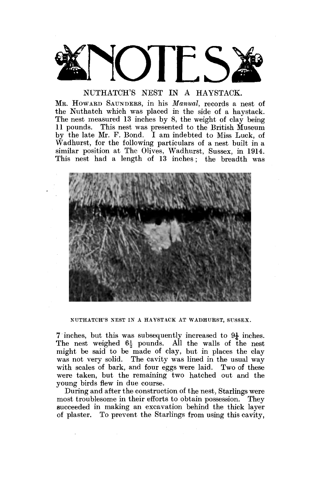

MR. HOWARD SAUNDERS, in his *Manual,* records a nest of the Nuthatch which was placed in the side of a haystack. The nest measured 13 inches by 8, the weight of clay being 11 pounds. This nest was presented to the British Museum by the late Mr. F. Bond. I am indebted to Miss Luck, of Wadhurst, for the following particulars of a nest built in a similar position at The Olives, Wadhurst, Sussex, in 1914. This nest had a length of 13 inches; the breadth was



NUTHATCH'S NEST IN A HAYSTACK AT WADHURST, SUSSEX.

7 inches, but this was subsequently increased to 9J- inches. The nest weighed  $6\frac{1}{2}$  pounds. All the walls of the nest might be said to be made of clay, but in places the clay was not very solid. The cavity was lined in the usual way with scales of bark, and four eggs were laid. Two of these were taken, but the remaining two hatched out and the young birds flew in due course.

During and after the construction of the nest, Starlings were most troublesome in their efforts to obtain possession. They succeeded in making an excavation behind the thick layer of plaster. To prevent the Starlings from using this cavity,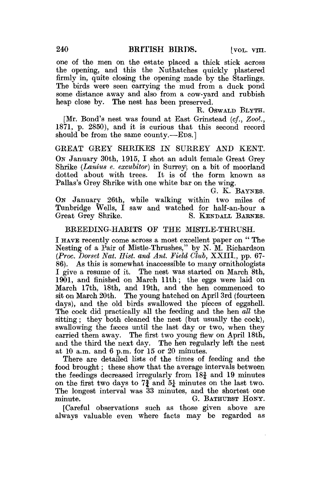one of the men on the estate placed a thick stick across the opening, and this the Nuthatches quickly plastered firmly in, quite closing the opening made by the Starlings. The birds were seen carrying the mud from a duck pond some distance away and also from a cow-yard and rubbish heap close by. The nest has been preserved.

R. OSWALD BLYTH.

[Mr. Bond's nest was found at East Grinstead (cf., Zoo!, 1871, p. 2850), and it is curious that this second record should be from the same county.—EDS.]

GREAT GREY SHRIKES IN SURREY AND KENT. ON January 30th, 1915, I shot an adult female Great Grey Shrike *(Lanius e. excubitor)* in Surrey', on a bit of moorland dotted about with trees. It is of the form known as Pallas's Grey Shrike with one white bar on the wing.

G. K. BAYNES.

ON January 26th, while walking within two miles of Tunbridge Wells, I saw and watched for half-an-hour a Great Grey Shrike. S. KENDALL BARNES.

# BREEDING-HABITS OP THE MISTLE-THRUSH.

I HAVE recently come across a most excellent paper on " The Nesting of a Pair of Mistle-Thrushes," by N. M. Richardson *(Proc, Dorset Nat, Hist, and Ant. Field Club,* XXIII., pp. 67- 86). As this is somewhat inaccessible to many ornithologists I give a resume of it. The nest was started on March 8th, 1901, and finished on March 11th; the eggs were laid on March 17th, 18th, and 19th, and the hen commenced to sit on March 20th. The young hatched on April 3rd (fourteen days), and the old birds swallowed the pieces of eggshell. The cock did practically all the feeding and the hen *all* the sitting; they both cleaned the nest (but usually the cock), swallowing the faeces until the last day or two, when they carried them away. The first two young flew on April 18th, and the third the next day. The hen regularly left the nest at 10 a.m. and 6 p.m. for 15 or 20 minutes.

There are detailed lists of the times of feeding and the food brought; these show that the average intervals between the feedings decreased irregularly from  $18\frac{3}{4}$  and 19 minutes on the first two days to  $7\frac{3}{4}$  and  $5\frac{1}{4}$  minutes on the last two. The longest interval was 33 minutes, and the shortest one minute. G. BATHURST HONY.

[Careful observations such as those given above are always valuable even where facts may be regarded as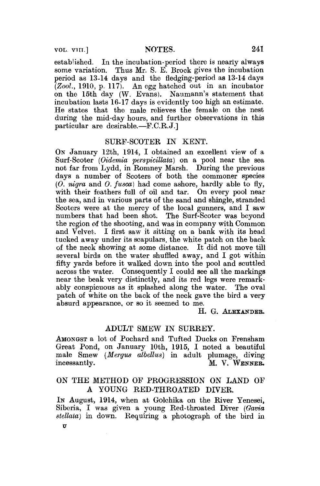## VOL. VIII.] NOTES. 241

established. In the incubation-period there is nearly always some variation. Thus Mr. S. E. Brock gives the incubation period as 13-14 days and the fledging-period as 13-14 days *(Zool.,* 1910, p. 117). An egg hatched out in an incubator on the 15th day (W. Evans). Naumann's statement that incubation lasts 16-17 days is evidently too high an estimate. He states that the male relieves the female on the nest during the mid-day hours, and further observations in this particular are desirable.—F.C.R.J.]

# SURF-SCOTER IN KENT.

ON January 12th, 1914, I obtained an excellent view of a Surf-Scoter *(Oidemia perspicillata)* on a pool near the sea not far from Lydd, in Romney Marsh. During the previous days a number of Scoters of both the commoner species *(0. nigra* and *0. fusca)* had come ashore, hardly able to fly, with their feathers full of oil and tar. On every pool near the sea, and in various parts of the sand and shingle, stranded Scoters were at the mercy of the local gunners, and I saw numbers that had been shot. The Surf-Scoter was beyond the region of the shooting, and was in company with Common and Velvet. I first saw it sitting on a bank with its head tucked away under its scapulars, the white patch on the back of the neck showing at some distance. It did not move till several birds on the water shuffled away, and I got within fifty yards before it walked down into the pool and scuttled across the water. Consequently I could see all the markings near the beak very distinctly, and its red legs were remarkably conspicuous as it splashed along the water. The oval patch of white on the back of the neck gave the bird a very absurd appearance, or so it seemed to me.

### H. G. ALEXANDER.

## ADULT SMEW IN SURREY.

AMONGST a lot of Pochard and Tufted Ducks on Frensham Great Pond, on January 10th, 1915, I noted a beautiful male Smew *(Mergiis albellus)* in adult plumage, diving incessantly. M. V. WENNER.

# ON THE METHOD OF PROGRESSION ON LAND OF A YOUNG RED-THROATED DIVER.

IN August, 1914, when at Golchika on the River Yenesei, Siberia, I was given a young Red-throated Diver *(Gavia stellaia)* in down. Requiring a photograph of the bird in *v*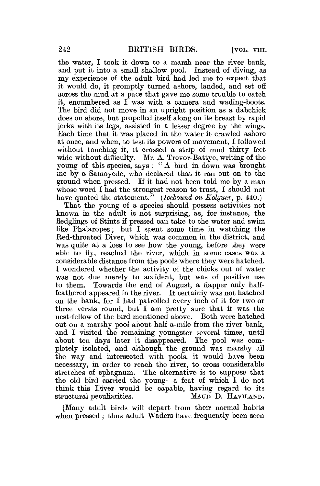the water, I took it down to a marsh near the river bank, and put it into a small shallow pool. Instead of diving, as my experience of the adult bird had led me to expect that it would do, it promptly turned ashore, landed, and set off across the mud at a pace that gave me some trouble to catch it, encumbered as I was with a camera and wading-boots. The bird did not move in an upright position as a dabchick does on shore, but propelled itself along on its breast by rapid jerks with its legs, assisted in a lesser degree by the wings. Each time that it was placed in the water it crawled ashore at once, and when, to test its powers of movement, I followed without touching it, it crossed a strip of mud thirty feet wide without difficulty. Mr. A. Trevor-Battye, writing of the young of this species, says : " A bird in down was brought me by a Samoyede, who declared that it ran out on to the ground when pressed. If it had not been told me by a man whose word I had the strongest reason to trust, I should not have quoted the statement.<sup>37</sup> (*Icebound on Kolguev, p.* 440.)

That the young of a species should possess activities not known in the adult is not surprising, as, for instance, the fledglings of Stints if pressed can take to the water and swim like Phalaropes; but I spent some time in watching the Red-throated Diver, which was common in the district, and was quite at a loss to see how the young, before they were able to fly, reached the river, which in some cases was a considerable distance from the pools where they were hatched. I wondered whether the activity of the chicks out of water was not due merely to accident, but was of positive use to them. Towards the end of August, a flapper only halffeathered appeared in the river. It certainly was not hatched on the bank, for I had patrolled every inch of it for two or three versts round, but I am pretty sure that it was the nest-fellow of the bird mentioned above. Both were hatched out on a marshy pool about half-a-mile from the river bank, and I visited the remaining youngster several times, until about ten days later it disappeared. The pool was completely isolated, and although the ground was marshy all the way and intersected with pools, it would have been necessary, in order to reach the river, to cross considerable stretches of sphagnum. The alternative is to suppose that the old bird carried the young—a feat of which I do not think this Diver would be capable, having regard to its structural peculiarities. MATTD D. HAVHAND.

[Many adult birds will depart from their normal habits when pressed; thus adult Waders have frequently been seen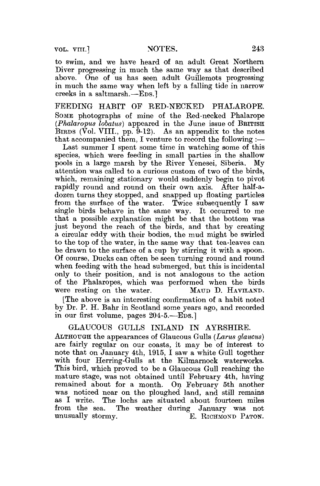VOL. VIII.] NOTES. 243

to swim, and we have heard of an adult Great Northern Diver progressing in much the same way as that described above. One of us has seen adult Guillemots progressing in much the same way when left by a falling tide in narrow creeks in a saltmarsh.—EDS.]

FEEDING HABIT OF RED-NECKED PHALAROPE. SOME photographs of mine of the Red-necked Phalarope *(Phalaropus lobatus)* appeared in the June issue of BRITISH BIRDS (Vol. VIII., pp.  $\bar{9}$ -12). As an appendix to the notes that accompanied them, I venture to record the following :—

Last summer I spent some time in watching some of this species, which were feeding in small parties in the shallow<br>pools in a large marsh by the River Yenesei. Siberia. My pools in a large marsh by the River Yenesei, Siberia. attention was called to a curious custom of two of the birds, which, remaining stationary would suddenly begin to pivot rapidly round and round on their own axis. After half-adozen turns they stopped, and snapped up floating particles from the surface of the water. Twice subsequently I saw single birds behave in the same way. It occurred to me that a possible explanation might be that the bottom was just beyond the reach of the birds, and that by creating a circular eddy with their bodies, the mud might be swirled to the top of the water, in the same way that tea-leaves can be drawn to the surface of a cup by stirring it with a spoon. Of course, Ducks can often be seen turning round and round when feeding with the head submerged, but this is incidental only to their position, and is not analogous to the action of the Phalaropes, which was performed when the birds were resting on the water. MAUD D. HAVILAND.

[The above is an interesting confirmation of a habit noted by Dr. P. H. Bahr in Scotland some years ago, and recorded in our first volume, pages 204-5.—EDS.]

GLAUCOUS GULLS INLAND IN AYRSHIRE. ALTHOUGH the appearances of Glaucous Gulls *(Larns glaucus)*  are fairly regular on our coasts, it may be of interest to note that on January 4th, 1915, I saw a white Gull together with four Herring-Gulls at the Kilmarnock waterworks. This bird, which proved to be a Glaucous Gull reaching the mature stage, was not obtained until February 4th, having remained about for a month. On February 5th another was noticed near on the ploughed land, and still remains as I write. The lochs are situated about fourteen miles from the sea. The weather during January was not The weather during January was not unusually stormy.  $E.$  RICHMOND PATON.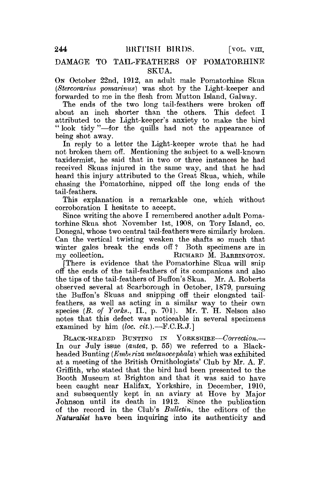# DAMAGE TO TAIL-FEATHERS OP POMATORHINE SKUA.

ON October 22nd, 1912, an adult male Pomatorhine Skua *(Stercorarius pomarinus)* was shot by the Light-keeper and forwarded to me in the flesh from Mutton Island, Galway.

The ends of the two long tail-feathers were broken off about an inch shorter than the others. This defect I attributed to the Light-keeper's anxiety to make the bird " look tidy"—for the quills had not the appearance of being shot away.

In reply to a letter the Light-keeper wrote that he had not broken them off. Mentioning the subject to a well-known taxidermist, he said that in two or three instances he had received Skuas injured in the same way, and that he had heard this injury attributed to the Great Skua, which, while chasing the Pomatorhine, nipped off the long ends of the tail-feathers.

This explanation is a remarkable one, which without corroboration I hesitate to accept.

Since writing the above I remembered another adult Pomatorhine Skua shot November 1st, 1908, on Tory Island, co. Donegal, whose two central tail-feathers were similarly broken. Can the vertical twisting weaken the shafts so much that winter gales break the ends off ? Both specimens are in my collection. RICHARD M. BARRINGTON.

There is evidence that the Pomatorhine Skua will snip off the ends of the tail-feathers of its companions and also the tips of the tail-feathers of Buffon's Skua. Mr. A. Roberts observed several at Scarborough in October, 1879, pursuing the Buffon's Skuas and snipping off their elongated tailfeathers, as well as acting in a similar way to their own species (B. of Yorks., II., p. 701). Mr. T. H. Nelson also notes that this defect was noticeable in several specimens examined by him *(loc. cit.).*—F.C.R.J.]

BLACK-HEADED BUNTING IN YORKSHIRE—*Correction.*— In our July issue *(antea,* p. 55) we referred to a Blackheaded Bunting *(Emberiza melunocephala)* which was exhibited at a meeting of the British Ornithologists' Club by Mr. A. F. Griffith, who stated that the bird had been presented to the Booth Museum at Brighton and that it was said to have been caught near Halifax, Yorkshire, in December, 1910, and subsequently kept in an aviary at Hove by Major Johnson until its death in 1912. Since the publication of the record in the Club's *Bulletin,* the editors of the *Naturalist* have been inquiring into its authenticity and